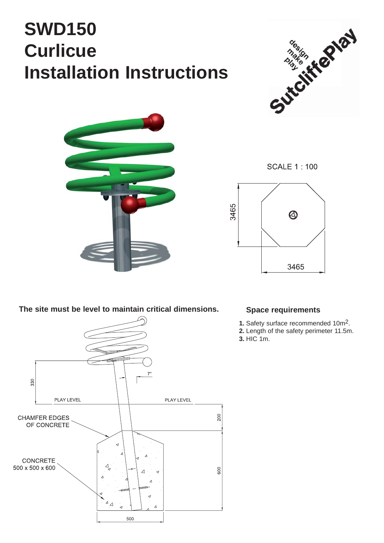# **SWD150 Curlicue Installation Instructions**





**SCALE 1: 100** 



**The site must be level to maintain critical dimensions.**



### **Space requirements**

- 1. Safety surface recommended 10m<sup>2</sup>.
- Length of the safety perimeter 11.5m. **2.**
- HIC 1m. **3.**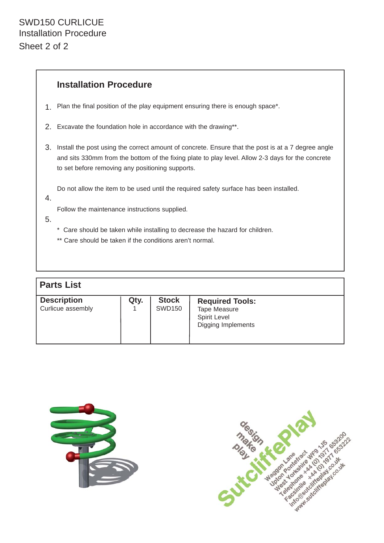## **Installation Procedure**

- Plan the final position of the play equipment ensuring there is enough space\*. 1.
- Excavate the foundation hole in accordance with the drawing\*\*. 2.
- 3. Install the post using the correct amount of concrete. Ensure that the post is at a 7 degree angle and sits 330mm from the bottom of the fixing plate to play level. Allow 2-3 days for the concrete to set before removing any positioning supports.

Do not allow the item to be used until the required safety surface has been installed.

4.

Follow the maintenance instructions supplied.

- 5.
- \* Care should be taken while installing to decrease the hazard for children.
- \*\* Care should be taken if the conditions aren't normal.

| <b>Parts List</b>                       |      |                               |                                                                                     |  |
|-----------------------------------------|------|-------------------------------|-------------------------------------------------------------------------------------|--|
| <b>Description</b><br>Curlicue assembly | Qty. | <b>Stock</b><br><b>SWD150</b> | <b>Required Tools:</b><br><b>Tape Measure</b><br>Spirit Level<br>Digging Implements |  |